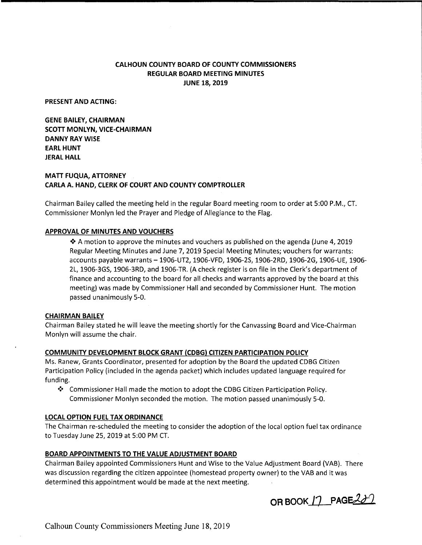## **CALHOUN COUNTY BOARD OF COUNTY COMMISSIONERS REGULAR BOARD MEETING MINUTES JUNE 18, 2019**

**PRESENT AND ACTING:** 

**GENE BAILEY, CHAIRMAN SCOTT MONLYN, VICE-CHAIRMAN DANNY RAY WISE EARL HUNT JERAL HALL** 

## **MATT FUQUA, ATTORNEY CARLA A. HAND, CLERK OF COURT AND COUNTY COMPTROLLER**

Chairman Bailey called the meeting held in the regular Board meeting room to order at 5:00 P.M., CT. Commissioner Monlyn led the Prayer and Pledge of Allegiance to the Flag.

### **APPROVAL OF MINUTES AND VOUCHERS**

 $\clubsuit$  A motion to approve the minutes and vouchers as published on the agenda (June 4, 2019 Regular Meeting Minutes and June 7, 2019 Special Meeting Minutes; vouchers for warrants: accounts payable warrants -1906-UT2, 1906-VFD, 1906-25, 1906-2RD, 1906-2G, 1906-UE, 1906- 2L, 1906-3GS, 1906-3RD, and 1906-TR. (A check register is on file in the Clerk's department of finance and accounting to the board for all checks and warrants approved by the board at this meeting) was made by Commissioner Hall and seconded by Commissioner Hunt. The motion passed unanimously 5-0.

### **CHAIRMAN BAILEY**

Chairman Bailey stated he will leave the meeting shortly for the Canvassing Board and Vice-Chairman Monlyn will assume the chair.

### **COMMUNITY DEVELOPMENT BLOCK GRANT (CDBG) CITIZEN PARTICIPATION POLICY**

Ms. Ranew, Grants Coordinator, presented for adoption by the Board the updated CDBG Citizen Participation Policy (included in the agenda packet) which includes updated language required for funding.

❖ Commissioner Hall made the motion to adopt the CDBG Citizen Participation Policy. Commissioner Monlyn seconded the motion. The motion passed unanimously 5-0.

### **LOCAL OPTION FUEL TAX ORDINANCE**

The Chairman re-scheduled the meeting to consider the adoption of the local option fuel tax ordinance to Tuesday June 25, 2019 at 5:00 PM CT.

### **BOARD APPOINTMENTS TO THE VALUE ADJUSTMENT BOARD**

Chairman Bailey appointed Commissioners Hunt and Wise to the Value Adjustment Board (VAB). There was discussion regarding the citizen appointee (homestead property owner) to the VAB and it was determined this appointment would be made at the next meeting.

**OR BOOK 17 PAGE 201**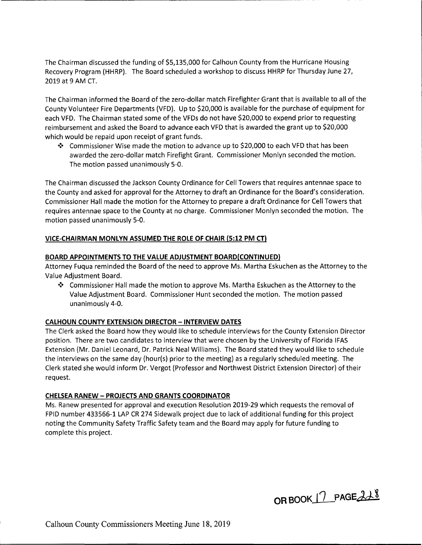The Chairman discussed the funding of \$5,135,000 for Calhoun County from the Hurricane Housing Recovery Program (HHRP). The Board scheduled a workshop to discuss HHRP for Thursday June 27, 2019 at 9 AM CT.

The Chairman informed the Board of the zero-dollar match Firefighter Grant that is available to all of the County Volunteer Fire Departments (VFD). Up to \$20,000 is available for the purchase of equipment for each VFD. The Chairman stated some of the VFDs do not have \$20,000 to expend prior to requesting reimbursement and asked the Board to advance each VFD that is awarded the grant up to \$20,000 which would be repaid upon receipt of grant funds.

❖ Commissioner Wise made the motion to advance up to \$20,000 to each VFD that has been awarded the zero-dollar match Firefight Grant. Commissioner Monlyn seconded the motion. The motion passed unanimously 5-0.

The Chairman discussed the Jackson County Ordinance for Cell Towers that requires antennae space to the County and asked for approval for the Attorney to draft an Ordinance for the Board's consideration. Commissioner Hall made the motion for the Attorney to prepare a draft Ordinance for Cell Towers that requires antennae space to the County at no charge. Commissioner Monlyn seconded the motion. The motion passed unanimously 5-0.

## **VICE-CHAIRMAN MONLYN ASSUMED THE ROLE OF CHAIR (5:12 PM CT)**

## **BOARD APPOINTMENTS TO THE VALUE ADJUSTMENT BOARD(CONTINUED)**

Attorney Fuqua reminded the Board of the need to approve Ms. Martha Eskuchen as the Attorney to the Value Adjustment Board.

❖ Commissioner Hall made the motion to approve Ms. Martha Eskuchen as the Attorney to the Value Adjustment Board. Commissioner Hunt seconded the motion. The motion passed unanimously 4-0.

## **CALHOUN COUNTY EXTENSION DIRECTOR - INTERVIEW DATES**

The Clerk asked the Board how they would like to schedule interviews for the County Extension Director position. There are two candidates to interview that were chosen by the University of Florida IFAS Extension {Mr. Daniel Leonard, Dr. Patrick Neal Williams). The Board stated they would like to schedule the interviews on the same day (hour(s) prior to the meeting) as a regularly scheduled meeting. The Clerk stated she would inform Dr. Vergot (Professor and Northwest District Extension Director) of their request.

## **CHELSEA RANEW - PROJECTS AND GRANTS COORDINATOR**

Ms. Ranew presented for approval and execution Resolution 2019-29 which requests the removal of FPID number 433566-1 LAP CR 274 Sidewalk project due to lack of additional funding for this project noting the Community Safety Traffic Safety team and the Board may apply for future funding to complete this project.

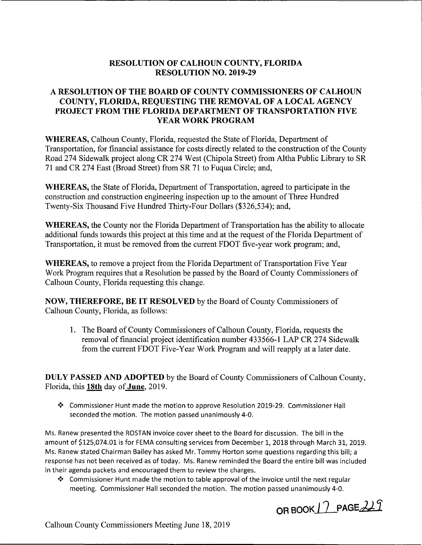## **RESOLUTION OF CALHOUN COUNTY, FLORIDA RESOLUTION NO. 2019-29**

## **A RESOLUTION OF THE BOARD OF COUNTY COMMISSIONERS OF CALHOUN COUNTY, FLORIDA, REQUESTING THE REMOVAL OF A LOCAL AGENCY PROJECT FROM THE FLORIDA DEPARTMENT OF TRANSPORTATION FIVE YEAR WORK PROGRAM**

**WHEREAS,** Calhoun County, Florida, requested the State of Florida, Department of Transportation, for financial assistance for costs directly related to the construction of the County Road 274 Sidewalk project along CR 274 West (Chipola Street) from Altha Public Library to SR 71 and CR 274 East (Broad Street) from SR 71 to Fuqua Circle; and,

WHEREAS, the State of Florida, Department of Transportation, agreed to participate in the construction and construction engineering inspection up to the amount of Three Hundred Twenty-Six Thousand Five Hundred Thirty-Four Dollars (\$326,534); and,

**WHEREAS, the County nor the Florida Department of Transportation has the ability to allocate** additional funds towards this project at this time and at the request of the Florida Department of Transportation, it must be removed from the current FDOT five-year work program; and,

**WHEREAS, to remove a project from the Florida Department of Transportation Five Year** Work Program requires that a Resolution be passed by the Board of County Commissioners of Calhoun County, Florida requesting this change.

**NOW, THEREFORE, BE IT RESOLVED** by the Board of County Commissioners of Calhoun County, Florida, as follows:

**1.** The Board of County Commissioners of Calhoun County, Florida, requests the removal of financial project identification number 433566-1 LAP CR 274 Sidewalk from the current FDOT Five-Year Work Program and will reapply at a later date.

**DULY PASSED AND ADOPTED** by the Board of County Commissioners of Calhoun County, Florida, this **18th** day of **June,** 2019.

❖ Commissioner Hunt made the motion to approve Resolution 2019-29. Commissioner Hall seconded the motion. The motion passed unanimously 4-0.

Ms. Ranew presented the ROSTAN invoice cover sheet to the Board for discussion. The bill in the amount of [\\$125,074.01](https://125,074.01) is for FEMA consulting services from December 1, 2018 through March 31, 2019. Ms. Ranew stated Chairman Bailey has asked Mr. Tommy Horton some questions regarding this bill; a response has not been received as of today. Ms. Ranew reminded the Board the entire bill was included in their agenda packets and encouraged them to review the charges.

❖ Commissioner Hunt made the motion to table approval of the invoice until the next regular meeting. Commissioner Hall seconded the motion. The motion passed unanimously 4-0.

**OR BOOK 17 PAGE 229**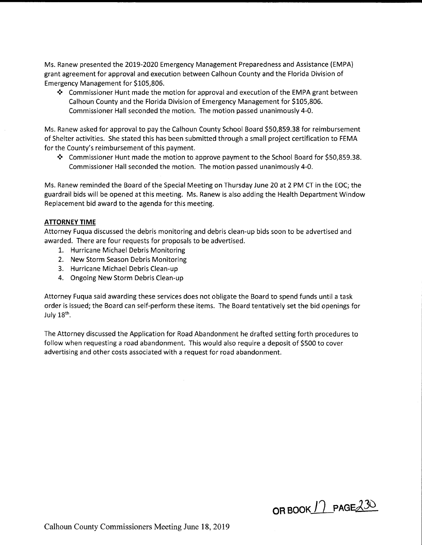Ms. Ranew presented the 2019-2020 Emergency Management Preparedness and Assistance (EMPA) grant agreement for approval and execution between Calhoun County and the Florida Division of Emergency Management for \$105,806.

❖ Commissioner Hunt made the motion for approval and execution of the EMPA grant between Calhoun County and the Florida Division of Emergency Management for \$105,806. Commissioner Hall seconded the motion. The motion passed unanimously 4-0.

Ms. Ranew asked for approval to pay the Calhoun County School Board \$[50,859.38](https://50,859.38) for reimbursement of Shelter activities. She stated this has been submitted through a small project certification to FEMA for the County's reimbursement of this payment.

❖ Commissioner Hunt made the motion to approve payment to the School Board for \$[50,859.38](https://50,859.38). Commissioner Hall seconded the motion. The motion passed unanimously 4-0.

Ms. Ranew reminded the Board of the Special Meeting on Thursday June 20 at 2 PM CT in the EOC; the guardrail bids will be opened at this meeting. Ms. Ranew is also adding the Health Department Window Replacement bid award to the agenda for this meeting.

### **ATTORNEY TIME**

Attorney Fuqua discussed the debris monitoring and debris clean-up bids soon to be advertised and awarded. There are four requests for proposals to be advertised.

- 1. Hurricane Michael Debris Monitoring
- 2. New Storm Season Debris Monitoring
- 3. Hurricane Michael Debris Clean-up
- 4. Ongoing New Storm Debris Clean-up

Attorney Fuqua said awarding these services does not obligate the Board to spend funds until a task order is issued; the Board can self-perform these items. The Board tentatively set the bid openings for July  $18<sup>th</sup>$ .

The Attorney discussed the Application for Road Abandonment he drafted setting forth procedures to follow when requesting a road abandonment. This would also require a deposit of \$500 to cover advertising and other costs associated with a request for road abandonment.

**OR BOOK 11 PAGE 230**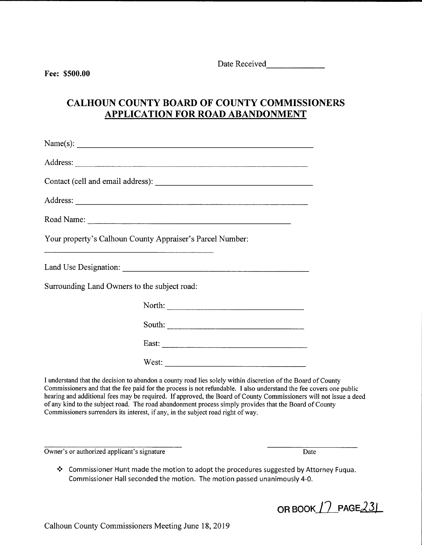------- Date Received

# **CALHOUN COUNTY BOARD OF COUNTY COMMISSIONERS APPLICATION FOR ROAD ABANDONMENT**

| Name(s): $\qquad \qquad$                                                                                        |
|-----------------------------------------------------------------------------------------------------------------|
|                                                                                                                 |
|                                                                                                                 |
|                                                                                                                 |
| Road Name: Name and Name and Name and Name and Name and Name and Name and Name and Name and Name and Name and N |
| Your property's Calhoun County Appraiser's Parcel Number:                                                       |
|                                                                                                                 |
| Surrounding Land Owners to the subject road:                                                                    |
|                                                                                                                 |
|                                                                                                                 |
|                                                                                                                 |
|                                                                                                                 |

I understand that the decision to abandon a county road lies solely within discretion ofthe Board of County Commissioners and that the fee paid for the process is not refundable. I also understand the fee covers one public hearing and additional fees may be required. If approved, the Board of County Commissioners will not issue a deed of any kind to the subject road. The road abandonment process simply provides that the Board of County Commissioners surrenders its interest, if any, in the subject road right of way.

Owner's or authorized applicant's signature Date

❖ Commissioner Hunt made the motion to adopt the procedures suggested by Attorney Fuqua. Commissioner Hall seconded the motion. The motion passed unanimously 4-0.

OR BOOK 17 PAGE 23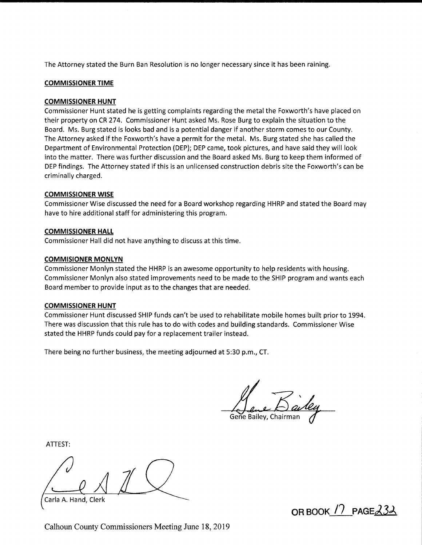The Attorney stated the Burn Ban Resolution is no longer necessary since it has been raining.

### **COMMISSIONER TIME**

### **COMMISSIONER HUNT**

Commissioner Hunt stated he is getting complaints regarding the metal the Foxworth's have placed on their property on CR 274. Commissioner Hunt asked Ms. Rose Burg to explain the situation to the Board. Ms. Burg stated is looks bad and is a potential danger if another storm comes to our County. The Attorney asked if the Foxworth's have a permit for the metal. Ms. Burg stated she has called the Department of Environmental Protection (DEP); DEP came, took pictures, and have said they will look into the matter. There was further discussion and the Board asked Ms. Burg to keep them informed of DEP findings. The Attorney stated if this is an unlicensed construction debris site the Foxworth's can be criminally charged.

### **COMMISSIONER WISE**

Commissioner Wise discussed the need for a Board workshop regarding HHRP and stated the Board may have to hire additional staff for administering this program.

#### **COMMISSIONER HALL**

Commissioner Hall did not have anything to discuss at this time.

#### **COMMISIONER MONLYN**

Commissioner Monlyn stated the HHRP is an awesome opportunity to help residents with housing. Commissioner Monlyn also stated improvements need to be made to the SHIP program and wants each Board member to provide input as to the changes that are needed.

#### **COMMISSIONER HUNT**

Commissioner Hunt discussed SHIP funds can't be used to rehabilitate mobile homes built prior to 1994. There was discussion that this rule has to do with codes and building standards. Commissioner Wise stated the HHRP funds could pay for a replacement trailer instead.

There being no further business, the meeting adjourned at 5:30 p.m., CT.

Gene Bailey, Chairmar

ATTEST:

Carla A. Hand, Clerk

**OR BOOK /7 PAGEJ3~** 

Calhoun County Commissioners Meeting June 18, 2019